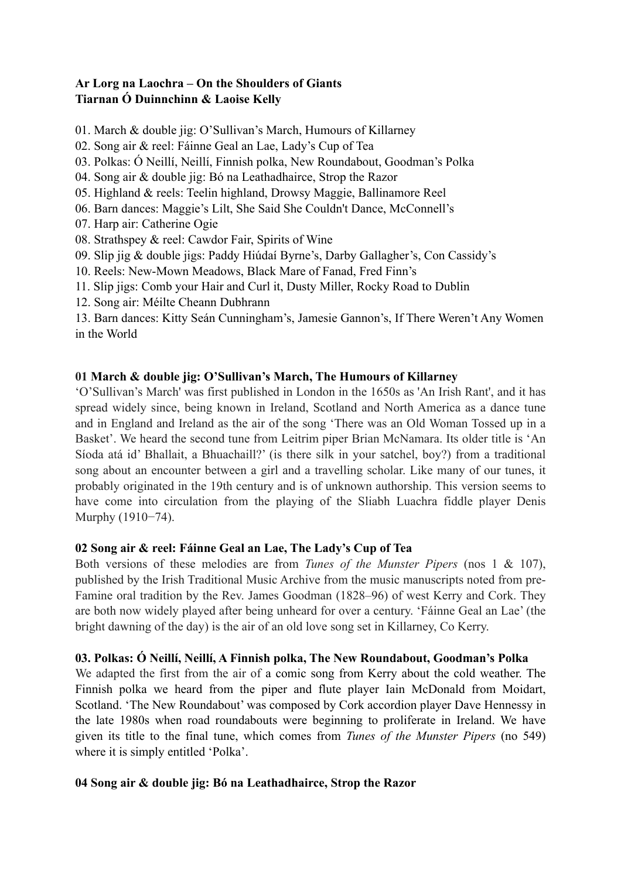# **Ar Lorg na Laochra – On the Shoulders of Giants Tiarnan Ó Duinnchinn & Laoise Kelly**

- 01. March & double jig: O'Sullivan's March, Humours of Killarney
- 02. Song air & reel: Fáinne Geal an Lae, Lady's Cup of Tea
- 03. Polkas: Ó Neillí, Neillí, Finnish polka, New Roundabout, Goodman's Polka
- 04. Song air & double jig: Bó na Leathadhairce, Strop the Razor
- 05. Highland & reels: Teelin highland, Drowsy Maggie, Ballinamore Reel
- 06. Barn dances: Maggie's Lilt, She Said She Couldn't Dance, McConnell's
- 07. Harp air: Catherine Ogie
- 08. Strathspey & reel: Cawdor Fair, Spirits of Wine
- 09. Slip jig & double jigs: Paddy Hiúdaí Byrne's, Darby Gallagher's, Con Cassidy's
- 10. Reels: New-Mown Meadows, Black Mare of Fanad, Fred Finn's
- 11. Slip jigs: Comb your Hair and Curl it, Dusty Miller, Rocky Road to Dublin
- 12. Song air: Méilte Cheann Dubhrann

13. Barn dances: Kitty Seán Cunningham's, Jamesie Gannon's, If There Weren't Any Women in the World

# **01 March & double jig: O'Sullivan's March, The Humours of Killarney**

'O'Sullivan's March' was first published in London in the 1650s as 'An Irish Rant', and it has spread widely since, being known in Ireland, Scotland and North America as a dance tune and in England and Ireland as the air of the song 'There was an Old Woman Tossed up in a Basket'. We heard the second tune from Leitrim piper Brian McNamara. Its older title is 'An Síoda atá id' Bhallait, a Bhuachaill?' (is there silk in your satchel, boy?) from a traditional song about an encounter between a girl and a travelling scholar. Like many of our tunes, it probably originated in the 19th century and is of unknown authorship. This version seems to have come into circulation from the playing of the Sliabh Luachra fiddle player Denis Murphy (1910−74).

### **02 Song air & reel: Fáinne Geal an Lae, The Lady's Cup of Tea**

Both versions of these melodies are from *Tunes of the Munster Pipers* (nos 1 & 107), published by the Irish Traditional Music Archive from the music manuscripts noted from pre-Famine oral tradition by the Rev. James Goodman (1828–96) of west Kerry and Cork. They are both now widely played after being unheard for over a century. 'Fáinne Geal an Lae' (the bright dawning of the day) is the air of an old love song set in Killarney, Co Kerry.

### **03. Polkas: Ó Neillí, Neillí, A Finnish polka, The New Roundabout, Goodman's Polka**

We adapted the first from the air of a comic song from Kerry about the cold weather. The Finnish polka we heard from the piper and flute player Iain McDonald from Moidart, Scotland. 'The New Roundabout' was composed by Cork accordion player Dave Hennessy in the late 1980s when road roundabouts were beginning to proliferate in Ireland. We have given its title to the final tune, which comes from *Tunes of the Munster Pipers* (no 549) where it is simply entitled 'Polka'.

# **04 Song air & double jig: Bó na Leathadhairce, Strop the Razor**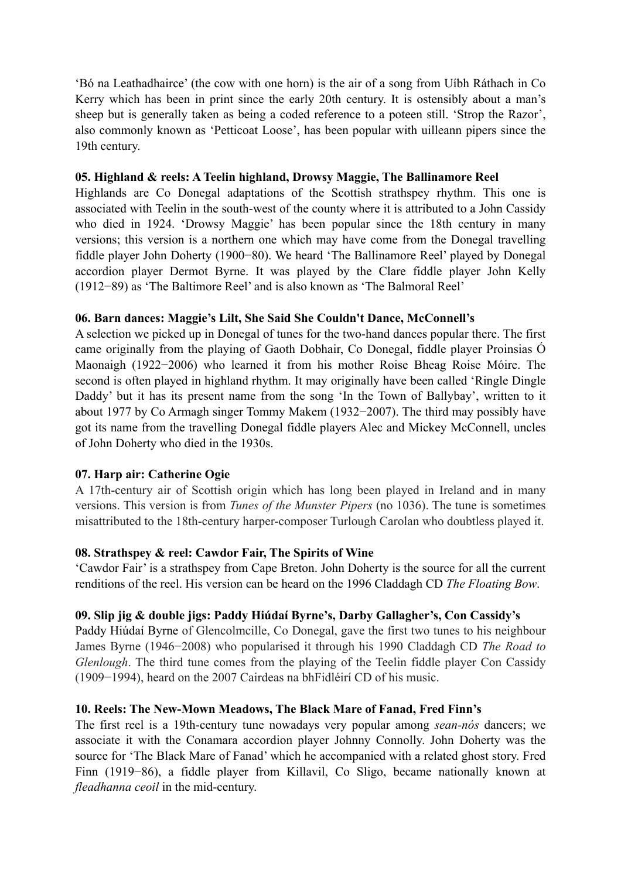'Bó na Leathadhairce' (the cow with one horn) is the air of a song from Uíbh Ráthach in Co Kerry which has been in print since the early 20th century. It is ostensibly about a man's sheep but is generally taken as being a coded reference to a poteen still. 'Strop the Razor', also commonly known as 'Petticoat Loose', has been popular with uilleann pipers since the 19th century.

#### **05. Highland & reels: A Teelin highland, Drowsy Maggie, The Ballinamore Reel**

Highlands are Co Donegal adaptations of the Scottish strathspey rhythm. This one is associated with Teelin in the south-west of the county where it is attributed to a John Cassidy who died in 1924. 'Drowsy Maggie' has been popular since the 18th century in many versions; this version is a northern one which may have come from the Donegal travelling fiddle player John Doherty (1900−80). We heard 'The Ballinamore Reel' played by Donegal accordion player Dermot Byrne. It was played by the Clare fiddle player John Kelly (1912−89) as 'The Baltimore Reel' and is also known as 'The Balmoral Reel'

#### **06. Barn dances: Maggie's Lilt, She Said She Couldn't Dance, McConnell's**

A selection we picked up in Donegal of tunes for the two-hand dances popular there. The first came originally from the playing of Gaoth Dobhair, Co Donegal, fiddle player Proinsias Ó Maonaigh (1922−2006) who learned it from his mother Roise Bheag Roise Móire. The second is often played in highland rhythm. It may originally have been called 'Ringle Dingle Daddy' but it has its present name from the song 'In the Town of Ballybay', written to it about 1977 by Co Armagh singer Tommy Makem (1932−2007). The third may possibly have got its name from the travelling Donegal fiddle players Alec and Mickey McConnell, uncles of John Doherty who died in the 1930s.

### **07. Harp air: Catherine Ogie**

A 17th-century air of Scottish origin which has long been played in Ireland and in many versions. This version is from *Tunes of the Munster Pipers* (no 1036). The tune is sometimes misattributed to the 18th-century harper-composer Turlough Carolan who doubtless played it.

### **08. Strathspey & reel: Cawdor Fair, The Spirits of Wine**

'Cawdor Fair' is a strathspey from Cape Breton. John Doherty is the source for all the current renditions of the reel. His version can be heard on the 1996 Claddagh CD *The Floating Bow*.

#### **09. Slip jig & double jigs: Paddy Hiúdaí Byrne's, Darby Gallagher's, Con Cassidy's**

Paddy Hiúdaí Byrne of Glencolmcille, Co Donegal, gave the first two tunes to his neighbour James Byrne (1946−2008) who popularised it through his 1990 Claddagh CD *The Road to Glenlough*. The third tune comes from the playing of the Teelin fiddle player Con Cassidy (1909−1994), heard on the 2007 Cairdeas na bhFidléirí CD of his music.

### **10. Reels: The New-Mown Meadows, The Black Mare of Fanad, Fred Finn's**

The first reel is a 19th-century tune nowadays very popular among *sean-nós* dancers; we associate it with the Conamara accordion player Johnny Connolly. John Doherty was the source for 'The Black Mare of Fanad' which he accompanied with a related ghost story. Fred Finn (1919−86), a fiddle player from Killavil, Co Sligo, became nationally known at *fleadhanna ceoil* in the mid-century.